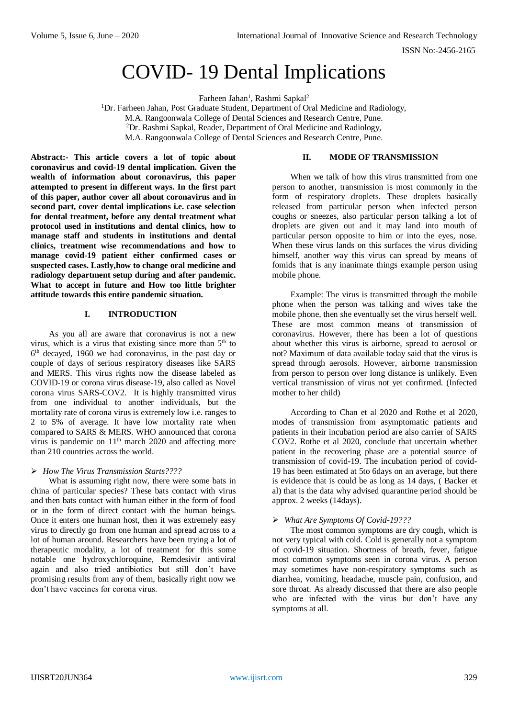# COVID- 19 Dental Implications

Farheen Jahan<sup>1</sup>, Rashmi Sapkal<sup>2</sup>

<sup>1</sup>Dr. Farheen Jahan, Post Graduate Student, Department of Oral Medicine and Radiology, M.A. Rangoonwala College of Dental Sciences and Research Centre, Pune. <sup>2</sup>Dr. Rashmi Sapkal, Reader, Department of Oral Medicine and Radiology, M.A. Rangoonwala College of Dental Sciences and Research Centre, Pune.

**Abstract:- This article covers a lot of topic about coronavirus and covid-19 dental implication. Given the wealth of information about coronavirus, this paper attempted to present in different ways. In the first part of this paper, author cover all about coronavirus and in second part, cover dental implications i.e. case selection for dental treatment, before any dental treatment what protocol used in institutions and dental clinics, how to manage staff and students in institutions and dental clinics, treatment wise recommendations and how to manage covid-19 patient either confirmed cases or suspected cases. Lastly,how to change oral medicine and radiology department setup during and after pandemic. What to accept in future and How too little brighter attitude towards this entire pandemic situation.**

# **I. INTRODUCTION**

As you all are aware that coronavirus is not a new virus, which is a virus that existing since more than  $5<sup>th</sup>$  to 6 th decayed, 1960 we had coronavirus, in the past day or couple of days of serious respiratory diseases like SARS and MERS. This virus rights now the disease labeled as COVID-19 or corona virus disease-19, also called as Novel corona virus SARS-COV2. It is highly transmitted virus from one individual to another individuals, but the mortality rate of corona virus is extremely low i.e. ranges to 2 to 5% of average. It have low mortality rate when compared to SARS & MERS. WHO announced that corona virus is pandemic on 11<sup>th</sup> march 2020 and affecting more than 210 countries across the world.

## *How The Virus Transmission Starts????*

What is assuming right now, there were some bats in china of particular species? These bats contact with virus and then bats contact with human either in the form of food or in the form of direct contact with the human beings. Once it enters one human host, then it was extremely easy virus to directly go from one human and spread across to a lot of human around. Researchers have been trying a lot of therapeutic modality, a lot of treatment for this some notable one hydroxychloroquine, Remdesivir antiviral again and also tried antibiotics but still don't have promising results from any of them, basically right now we don't have vaccines for corona virus.

# **II. MODE OF TRANSMISSION**

When we talk of how this virus transmitted from one person to another, transmission is most commonly in the form of respiratory droplets. These droplets basically released from particular person when infected person coughs or sneezes, also particular person talking a lot of droplets are given out and it may land into mouth of particular person opposite to him or into the eyes, nose. When these virus lands on this surfaces the virus dividing himself, another way this virus can spread by means of fomids that is any inanimate things example person using mobile phone.

Example: The virus is transmitted through the mobile phone when the person was talking and wives take the mobile phone, then she eventually set the virus herself well. These are most common means of transmission of coronavirus. However, there has been a lot of questions about whether this virus is airborne, spread to aerosol or not? Maximum of data available today said that the virus is spread through aerosols. However, airborne transmission from person to person over long distance is unlikely. Even vertical transmission of virus not yet confirmed. (Infected mother to her child)

According to Chan et al 2020 and Rothe et al 2020, modes of transmission from asymptomatic patients and patients in their incubation period are also carrier of SARS COV2. Rothe et al 2020, conclude that uncertain whether patient in the recovering phase are a potential source of transmission of covid-19. The incubation period of covid-19 has been estimated at 5to 6days on an average, but there is evidence that is could be as long as 14 days, ( Backer et al) that is the data why advised quarantine period should be approx. 2 weeks (14days).

## *What Are Symptoms Of Covid-19???*

The most common symptoms are dry cough, which is not very typical with cold. Cold is generally not a symptom of covid-19 situation. Shortness of breath, fever, fatigue most common symptoms seen in corona virus. A person may sometimes have non-respiratory symptoms such as diarrhea, vomiting, headache, muscle pain, confusion, and sore throat. As already discussed that there are also people who are infected with the virus but don't have any symptoms at all.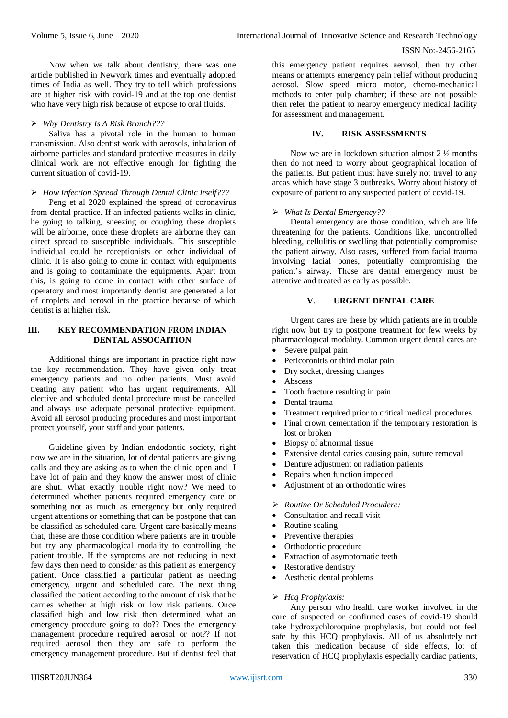Now when we talk about dentistry, there was one article published in Newyork times and eventually adopted times of India as well. They try to tell which professions are at higher risk with covid-19 and at the top one dentist who have very high risk because of expose to oral fluids.

#### *Why Dentistry Is A Risk Branch???*

Saliva has a pivotal role in the human to human transmission. Also dentist work with aerosols, inhalation of airborne particles and standard protective measures in daily clinical work are not effective enough for fighting the current situation of covid-19.

#### *How Infection Spread Through Dental Clinic Itself???*

Peng et al 2020 explained the spread of coronavirus from dental practice. If an infected patients walks in clinic, he going to talking, sneezing or coughing these droplets will be airborne, once these droplets are airborne they can direct spread to susceptible individuals. This susceptible individual could be receptionists or other individual of clinic. It is also going to come in contact with equipments and is going to contaminate the equipments. Apart from this, is going to come in contact with other surface of operatory and most importantly dentist are generated a lot of droplets and aerosol in the practice because of which dentist is at higher risk.

#### **III. KEY RECOMMENDATION FROM INDIAN DENTAL ASSOCAITION**

Additional things are important in practice right now the key recommendation. They have given only treat emergency patients and no other patients. Must avoid treating any patient who has urgent requirements. All elective and scheduled dental procedure must be cancelled and always use adequate personal protective equipment. Avoid all aerosol producing procedures and most important protect yourself, your staff and your patients.

Guideline given by Indian endodontic society, right now we are in the situation, lot of dental patients are giving calls and they are asking as to when the clinic open and I have lot of pain and they know the answer most of clinic are shut. What exactly trouble right now? We need to determined whether patients required emergency care or something not as much as emergency but only required urgent attentions or something that can be postpone that can be classified as scheduled care. Urgent care basically means that, these are those condition where patients are in trouble but try any pharmacological modality to controlling the patient trouble. If the symptoms are not reducing in next few days then need to consider as this patient as emergency patient. Once classified a particular patient as needing emergency, urgent and scheduled care. The next thing classified the patient according to the amount of risk that he carries whether at high risk or low risk patients. Once classified high and low risk then determined what an emergency procedure going to do?? Does the emergency management procedure required aerosol or not?? If not required aerosol then they are safe to perform the emergency management procedure. But if dentist feel that

this emergency patient requires aerosol, then try other means or attempts emergency pain relief without producing aerosol. Slow speed micro motor, chemo-mechanical methods to enter pulp chamber; if these are not possible then refer the patient to nearby emergency medical facility for assessment and management.

#### **IV. RISK ASSESSMENTS**

Now we are in lockdown situation almost 2 ½ months then do not need to worry about geographical location of the patients. But patient must have surely not travel to any areas which have stage 3 outbreaks. Worry about history of exposure of patient to any suspected patient of covid-19.

#### *What Is Dental Emergency??*

Dental emergency are those condition, which are life threatening for the patients. Conditions like, uncontrolled bleeding, cellulitis or swelling that potentially compromise the patient airway. Also cases, suffered from facial trauma involving facial bones, potentially compromising the patient's airway. These are dental emergency must be attentive and treated as early as possible.

## **V. URGENT DENTAL CARE**

Urgent cares are these by which patients are in trouble right now but try to postpone treatment for few weeks by pharmacological modality. Common urgent dental cares are

- Severe pulpal pain
- Pericoronitis or third molar pain
- Dry socket, dressing changes
- Abscess
- Tooth fracture resulting in pain
- Dental trauma
- Treatment required prior to critical medical procedures
- Final crown cementation if the temporary restoration is lost or broken
- Biopsy of abnormal tissue
- Extensive dental caries causing pain, suture removal
- Denture adjustment on radiation patients
- Repairs when function impeded
- Adjustment of an orthodontic wires
- *Routine Or Scheduled Procudere:*
- Consultation and recall visit
- Routine scaling
- Preventive therapies
- Orthodontic procedure
- Extraction of asymptomatic teeth
- Restorative dentistry
- Aesthetic dental problems

## *Hcq Prophylaxis:*

Any person who health care worker involved in the care of suspected or confirmed cases of covid-19 should take hydroxychloroquine prophylaxis, but could not feel safe by this HCQ prophylaxis. All of us absolutely not taken this medication because of side effects, lot of reservation of HCQ prophylaxis especially cardiac patients,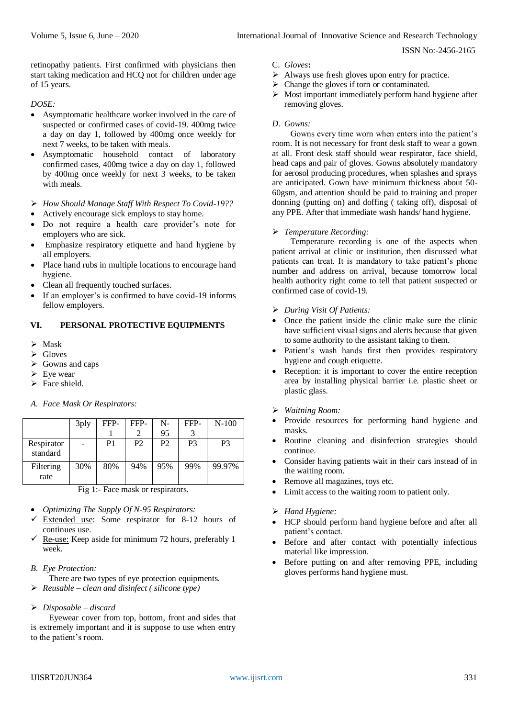retinopathy patients. First confirmed with physicians then start taking medication and HCQ not for children under age of 15 years.

*DOSE:* 

- Asymptomatic healthcare worker involved in the care of suspected or confirmed cases of covid-19. 400mg twice a day on day 1, followed by 400mg once weekly for next 7 weeks, to be taken with meals.
- Asymptomatic household contact of laboratory confirmed cases, 400mg twice a day on day 1, followed by 400mg once weekly for next 3 weeks, to be taken with meals.
- *How Should Manage Staff With Respect To Covid-19??*
- Actively encourage sick employs to stay home.
- Do not require a health care provider's note for employers who are sick.
- Emphasize respiratory etiquette and hand hygiene by all employers.
- Place hand rubs in multiple locations to encourage hand hygiene.
- Clean all frequently touched surfaces.
- If an employer's is confirmed to have covid-19 informs fellow employers.

# **VI. PERSONAL PROTECTIVE EQUIPMENTS**

- $\triangleright$  Mask
- Gloves
- Gowns and caps
- $\triangleright$  Eye wear
- $\triangleright$  Face shield.

## *A. Face Mask Or Respirators:*

|                        | 3ply | FFP- | FFP-           | N-<br>95 | FFP-           | N-100          |
|------------------------|------|------|----------------|----------|----------------|----------------|
| Respirator<br>standard |      | P1   | P <sub>2</sub> | P2       | P <sub>3</sub> | P <sub>3</sub> |
| Filtering<br>rate      | 30%  | 80%  | 94%            | 95%      | 99%            | 99.97%         |

Fig 1:- Face mask or respirators.

- *Optimizing The Supply Of N-95 Respirators:*
- $\checkmark$  Extended use: Some respirator for 8-12 hours of continues use.
- $\checkmark$  Re-use: Keep aside for minimum 72 hours, preferably 1 week.
- *B. Eye Protection:*
- There are two types of eye protection equipments.
- *Reusable – clean and disinfect ( silicone type)*

## *Disposable – discard*

Eyewear cover from top, bottom, front and sides that is extremely important and it is suppose to use when entry to the patient's room.

- C. *Gloves***:**
- $\triangleright$  Always use fresh gloves upon entry for practice.
- $\triangleright$  Change the gloves if torn or contaminated.
- $\triangleright$  Most important immediately perform hand hygiene after removing gloves.

# *D. Gowns:*

Gowns every time worn when enters into the patient's room. It is not necessary for front desk staff to wear a gown at all. Front desk staff should wear respirator, face shield, head caps and pair of gloves. Gowns absolutely mandatory for aerosol producing procedures, when splashes and sprays are anticipated. Gown have minimum thickness about 50- 60gsm, and attention should be paid to training and proper donning (putting on) and doffing ( taking off), disposal of any PPE. After that immediate wash hands/ hand hygiene.

## *Temperature Recording:*

Temperature recording is one of the aspects when patient arrival at clinic or institution, then discussed what patients can treat. It is mandatory to take patient's phone number and address on arrival, because tomorrow local health authority right come to tell that patient suspected or confirmed case of covid-19.

- *During Visit Of Patients:*
- Once the patient inside the clinic make sure the clinic have sufficient visual signs and alerts because that given to some authority to the assistant taking to them.
- Patient's wash hands first then provides respiratory hygiene and cough etiquette.
- Reception: it is important to cover the entire reception area by installing physical barrier i.e. plastic sheet or plastic glass.
- *Waitning Room:*
- Provide resources for performing hand hygiene and masks.
- Routine cleaning and disinfection strategies should continue.
- Consider having patients wait in their cars instead of in the waiting room.
- Remove all magazines, toys etc.
- Limit access to the waiting room to patient only.
- *Hand Hygiene:*
- HCP should perform hand hygiene before and after all patient's contact.
- Before and after contact with potentially infectious material like impression.
- Before putting on and after removing PPE, including gloves performs hand hygiene must.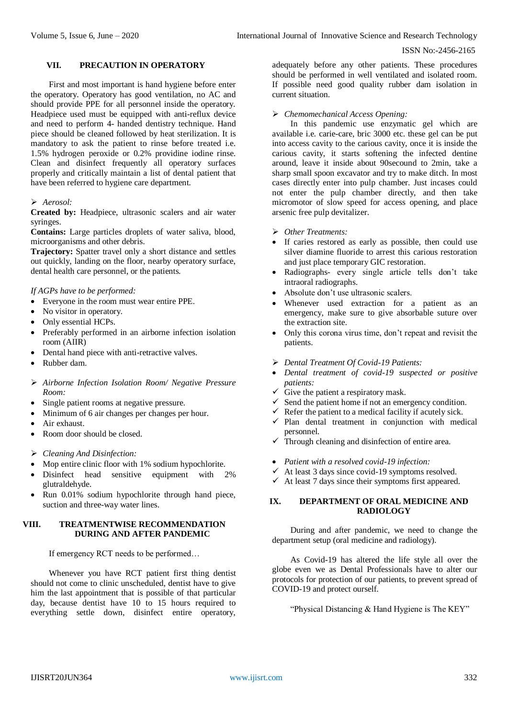# **VII. PRECAUTION IN OPERATORY**

First and most important is hand hygiene before enter the operatory. Operatory has good ventilation, no AC and should provide PPE for all personnel inside the operatory. Headpiece used must be equipped with anti-reflux device and need to perform 4- handed dentistry technique. Hand piece should be cleaned followed by heat sterilization. It is mandatory to ask the patient to rinse before treated i.e. 1.5% hydrogen peroxide or 0.2% providine iodine rinse. Clean and disinfect frequently all operatory surfaces properly and critically maintain a list of dental patient that have been referred to hygiene care department.

#### *Aerosol:*

**Created by:** Headpiece, ultrasonic scalers and air water syringes.

**Contains:** Large particles droplets of water saliva, blood, microorganisms and other debris.

**Trajectory:** Spatter travel only a short distance and settles out quickly, landing on the floor, nearby operatory surface, dental health care personnel, or the patients.

*If AGPs have to be performed:*

- Everyone in the room must wear entire PPE.
- No visitor in operatory.
- Only essential HCPs.
- Preferably performed in an airborne infection isolation room (AIIR)
- Dental hand piece with anti-retractive valves.
- Rubber dam.
- *Airborne Infection Isolation Room/ Negative Pressure Room:*
- Single patient rooms at negative pressure.
- Minimum of 6 air changes per changes per hour.
- Air exhaust.
- Room door should be closed.
- *Cleaning And Disinfection:*
- Mop entire clinic floor with 1% sodium hypochlorite.
- Disinfect head sensitive equipment with 2% glutraldehyde.
- Run 0.01% sodium hypochlorite through hand piece, suction and three-way water lines.

## **VIII. TREATMENTWISE RECOMMENDATION DURING AND AFTER PANDEMIC**

If emergency RCT needs to be performed…

Whenever you have RCT patient first thing dentist should not come to clinic unscheduled, dentist have to give him the last appointment that is possible of that particular day, because dentist have 10 to 15 hours required to everything settle down, disinfect entire operatory,

adequately before any other patients. These procedures should be performed in well ventilated and isolated room. If possible need good quality rubber dam isolation in current situation.

#### *Chemomechanical Access Opening:*

In this pandemic use enzymatic gel which are available i.e. carie-care, bric 3000 etc. these gel can be put into access cavity to the carious cavity, once it is inside the carious cavity, it starts softening the infected dentine around, leave it inside about 90secound to 2min, take a sharp small spoon excavator and try to make ditch. In most cases directly enter into pulp chamber. Just incases could not enter the pulp chamber directly, and then take micromotor of slow speed for access opening, and place arsenic free pulp devitalizer.

#### *Other Treatments:*

- If caries restored as early as possible, then could use silver diamine fluoride to arrest this carious restoration and just place temporary GIC restoration.
- Radiographs- every single article tells don't take intraoral radiographs.
- Absolute don't use ultrasonic scalers.
- Whenever used extraction for a patient as an emergency, make sure to give absorbable suture over the extraction site.
- Only this corona virus time, don't repeat and revisit the patients.
- *Dental Treatment Of Covid-19 Patients:*
- *Dental treatment of covid-19 suspected or positive patients:*
- $\checkmark$  Give the patient a respiratory mask.
- $\checkmark$  Send the patient home if not an emergency condition.
- Refer the patient to a medical facility if acutely sick.
- $\checkmark$  Plan dental treatment in conjunction with medical personnel.
- $\checkmark$  Through cleaning and disinfection of entire area.
- *Patient with a resolved covid-19 infection:*
- $\checkmark$  At least 3 days since covid-19 symptoms resolved.
- $\checkmark$  At least 7 days since their symptoms first appeared.

# **IX. DEPARTMENT OF ORAL MEDICINE AND RADIOLOGY**

During and after pandemic, we need to change the department setup (oral medicine and radiology).

As Covid-19 has altered the life style all over the globe even we as Dental Professionals have to alter our protocols for protection of our patients, to prevent spread of COVID-19 and protect ourself.

"Physical Distancing & Hand Hygiene is The KEY"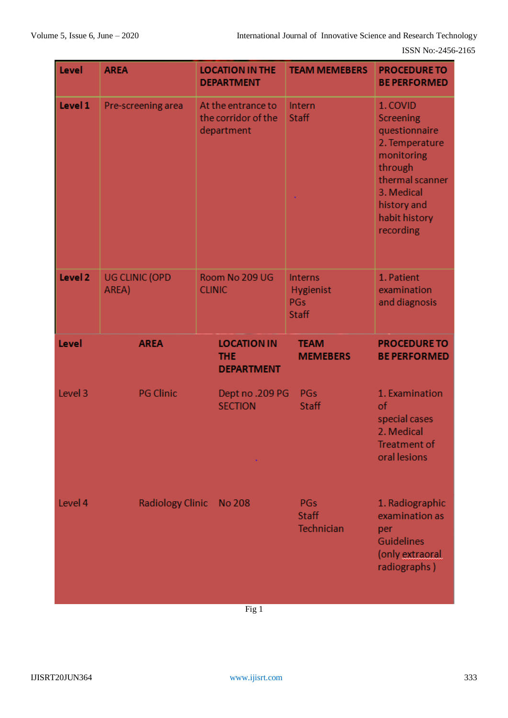| Level   | <b>AREA</b>                    | <b>LOCATION IN THE</b><br><b>DEPARTMENT</b>             | <b>TEAM MEMEBERS</b>                                      | <b>PROCEDURE TO</b><br><b>BE PERFORMED</b>                                                                                                                             |
|---------|--------------------------------|---------------------------------------------------------|-----------------------------------------------------------|------------------------------------------------------------------------------------------------------------------------------------------------------------------------|
| Level 1 | Pre-screening area             | At the entrance to<br>the corridor of the<br>department | Intern<br><b>Staff</b>                                    | 1. COVID<br><b>Screening</b><br>questionnaire<br>2. Temperature<br>monitoring<br>through<br>thermal scanner<br>3. Medical<br>history and<br>habit history<br>recording |
| Level 2 | <b>UG CLINIC (OPD</b><br>AREA) | Room No 209 UG<br><b>CLINIC</b>                         | <b>Interns</b><br>Hygienist<br><b>PGs</b><br><b>Staff</b> | 1. Patient<br>examination<br>and diagnosis                                                                                                                             |
| Level   | <b>AREA</b>                    | <b>LOCATION IN</b><br><b>THE</b><br><b>DEPARTMENT</b>   | <b>TEAM</b><br><b>MEMEBERS</b>                            | <b>PROCEDURE TO</b><br><b>BE PERFORMED</b>                                                                                                                             |
| Level 3 | <b>PG Clinic</b>               | Dept no .209 PG<br><b>SECTION</b>                       | <b>PGs</b><br>Staff                                       | 1. Examination<br>of<br>special cases<br>2. Medical<br>Treatment of<br>oral lesions                                                                                    |
| Level 4 | <b>Radiology Clinic</b>        | No 208                                                  | PGs<br><b>Staff</b><br>Technician                         | 1. Radiographic<br>examination as<br>per<br><b>Guidelines</b><br>(only extraoral<br>radiographs)                                                                       |
|         |                                | $\operatorname{Fi}\sigma$ 1                             |                                                           |                                                                                                                                                                        |

Fig 1